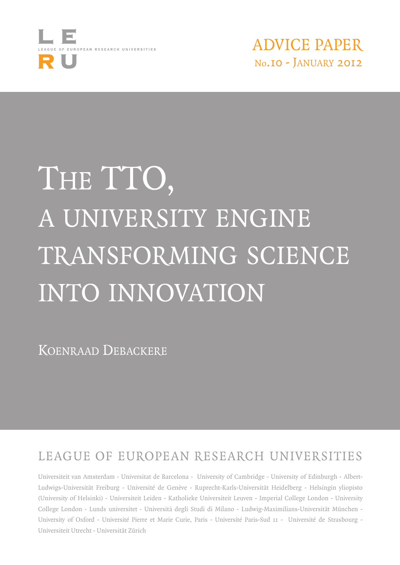

ADVICE PAPER No.10 - JANUARY 2012

# THE TTO, A UNIVERSITY ENGINE TRANSFORMING SCIENCE INTO INNOVATION

KOENRAAD DEBACKERE

## LEAGUE OF EUROPEAN RESEARCH UNIVERSITIES

Universiteit van Amsterdam - Universitat de Barcelona - University of Cambridge - University of Edinburgh - Albert-Ludwigs-Universität Freiburg - Université de Genève - Ruprecht-Karls-Universität Heidelberg - Helsingin yliopisto (University of Helsinki) - Universiteit Leiden - Katholieke Universiteit Leuven - Imperial College London - University College London - Lunds universitet - Università degli Studi di Milano - Ludwig-Maximilians-Universität München - University of Oxford - Université Pierre et Marie Curie, Paris - Université Paris-Sud 11 - Université de Strasbourg - Universiteit Utrecht - Universität Zürich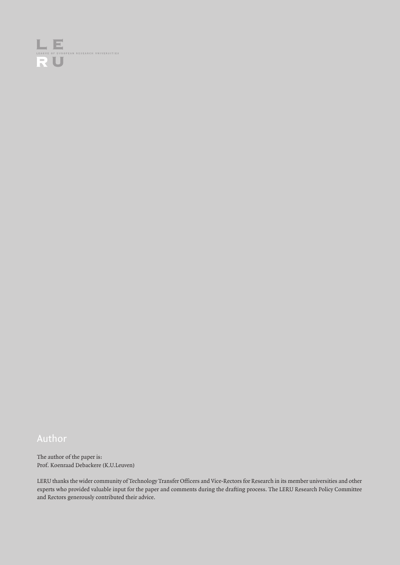

The author of the paper is: Prof. Koenraad Debackere (K.U.Leuven)

LERU thanks the wider community of Technology Transfer Officers and Vice-Rectors for Research in its member universities and other experts who provided valuable input for the paper and comments during the drafting process. The LERU Research Policy Committee and Rectors generously contributed their advice.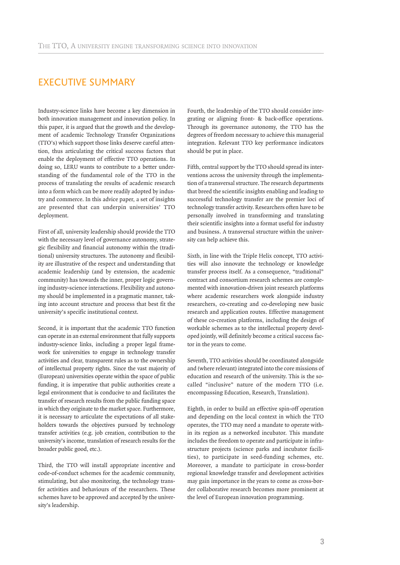## EXECUTIVE SUMMARY

Industry-science links have become a key dimension in both innovation management and innovation policy. In this paper, it is argued that the growth and the development of academic Technology Transfer Organizations (TTO's) which support those links deserve careful attention, thus articulating the critical success factors that enable the deployment of effective TTO operations. In doing so, LERU wants to contribute to a better understanding of the fundamental role of the TTO in the process of translating the results of academic research into a form which can be more readily adopted by industry and commerce. In this advice paper, a set of insights are presented that can underpin universities' TTO deployment.

First of all, university leadership should provide the TTO with the necessary level of governance autonomy, strategic flexibility and financial autonomy within the (traditional) university structures. The autonomy and flexibility are illustrative of the respect and understanding that academic leadership (and by extension, the academic community) has towards the inner, proper logic governing industry-science interactions. Flexibility and autonomy should be implemented in a pragmatic manner, taking into account structure and process that best fit the university's specific institutional context.

Second, it is important that the academic TTO function can operate in an external environment that fully supports industry-science links, including a proper legal framework for universities to engage in technology transfer activities and clear, transparent rules as to the ownership of intellectual property rights. Since the vast majority of (European) universities operate within the space of public funding, it is imperative that public authorities create a legal environment that is conducive to and facilitates the transfer of research results from the public funding space in which they originate to the market space. Furthermore, it is necessary to articulate the expectations of all stakeholders towards the objectives pursued by technology transfer activities (e.g. job creation, contribution to the university's income, translation of research results for the broader public good, etc.).

Third, the TTO will install appropriate incentive and code-of-conduct schemes for the academic community, stimulating, but also monitoring, the technology transfer activities and behaviours of the researchers. These schemes have to be approved and accepted by the university's leadership.

Fourth, the leadership of the TTO should consider integrating or aligning front- & back-office operations. Through its governance autonomy, the TTO has the degrees of freedom necessary to achieve this managerial integration. Relevant TTO key performance indicators should be put in place.

Fifth, central support by the TTO should spread its interventions across the university through the implementation of a transversal structure. The research departments that breed the scientific insights enabling and leading to successful technology transfer are the premier loci of technology transfer activity. Researchers often have to be personally involved in transforming and translating their scientific insights into a format useful for industry and business. A transversal structure within the university can help achieve this.

Sixth, in line with the Triple Helix concept, TTO activities will also innovate the technology or knowledge transfer process itself. As a consequence, "traditional" contract and consortium research schemes are complemented with innovation-driven joint research platforms where academic researchers work alongside industry researchers, co-creating and co-developing new basic research and application routes. Effective management of these co-creation platforms, including the design of workable schemes as to the intellectual property developed jointly, will definitely become a critical success factor in the years to come.

Seventh, TTO activities should be coordinated alongside and (where relevant) integrated into the core missions of education and research of the university. This is the socalled "inclusive" nature of the modern TTO (i.e. encompassing Education, Research, Translation).

Eighth, in order to build an effective spin-off operation and depending on the local context in which the TTO operates, the TTO may need a mandate to operate within its region as a networked incubator. This mandate includes the freedom to operate and participate in infrastructure projects (science parks and incubator facilities), to participate in seed-funding schemes, etc. Moreover, a mandate to participate in cross-border regional knowledge transfer and development activities may gain importance in the years to come as cross-border collaborative research becomes more prominent at the level of European innovation programming.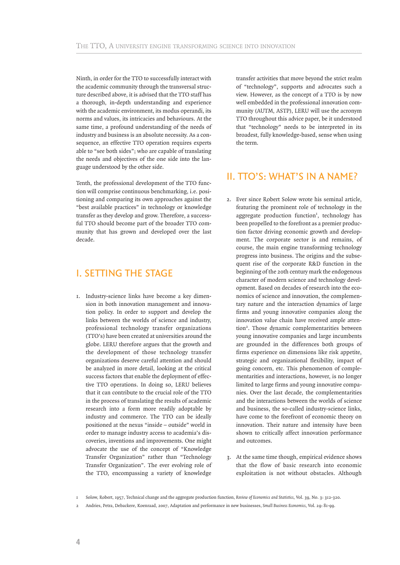Ninth, in order for the TTO to successfully interact with the academic community through the transversal structure described above, it is advised that the TTO staff has a thorough, in-depth understanding and experience with the academic environment, its modus operandi, its norms and values, its intricacies and behaviours. At the same time, a profound understanding of the needs of industry and business is an absolute necessity. As a consequence, an effective TTO operation requires experts able to "see both sides"; who are capable of translating the needs and objectives of the one side into the language understood by the other side.

Tenth, the professional development of the TTO function will comprise continuous benchmarking, i.e. positioning and comparing its own approaches against the "best available practices" in technology or knowledge transfer as they develop and grow. Therefore, a successful TTO should become part of the broader TTO community that has grown and developed over the last decade.

## I. SETTING THE STAGE

1. Industry-science links have become a key dimension in both innovation management and innovation policy. In order to support and develop the links between the worlds of science and industry, professional technology transfer organizations (TTO's) have been created at universities around the globe. LERU therefore argues that the growth and the development of those technology transfer organizations deserve careful attention and should be analyzed in more detail, looking at the critical success factors that enable the deployment of effective TTO operations. In doing so, LERU believes that it can contribute to the crucial role of the TTO in the process of translating the results of academic research into a form more readily adoptable by industry and commerce. The TTO can be ideally positioned at the nexus "inside – outside" world in order to manage industry access to academia's discoveries, inventions and improvements. One might advocate the use of the concept of "Knowledge Transfer Organization" rather than "Technology Transfer Organization". The ever evolving role of the TTO, encompassing a variety of knowledge transfer activities that move beyond the strict realm of "technology", supports and advocates such a view. However, as the concept of a TTO is by now well embedded in the professional innovation community (AUTM, ASTP), LERU will use the acronym TTO throughout this advice paper, be it understood that "technology" needs to be interpreted in its broadest, fully knowledge-based, sense when using the term.

### II. TTO'S: WHAT'S IN A NAME?

- 2. Ever since Robert Solow wrote his seminal article, featuring the prominent role of technology in the aggregate production function<sup>1</sup>, technology has been propelled to the forefront as a premier production factor driving economic growth and development. The corporate sector is and remains, of course, the main engine transforming technology progress into business. The origins and the subsequent rise of the corporate R&D function in the beginning of the 20th century mark the endogenous character of modern science and technology development. Based on decades of research into the economics of science and innovation, the complementary nature and the interaction dynamics of large firms and young innovative companies along the innovation value chain have received ample attention<sup>2</sup>. Those dynamic complementarities between young innovative companies and large incumbents are grounded in the differences both groups of firms experience on dimensions like risk appetite, strategic and organizational flexibility, impact of going concern, etc. This phenomenon of complementarities and interactions, however, is no longer limited to large firms and young innovative companies. Over the last decade, the complementarities and the interactions between the worlds of science and business, the so-called industry-science links, have come to the forefront of economic theory on innovation. Their nature and intensity have been shown to critically affect innovation performance and outcomes.
- 3. At the same time though, empirical evidence shows that the flow of basic research into economic exploitation is not without obstacles. Although

<sup>1</sup> Solow, Robert, 1957, Technical change and the aggregate production function, *Review of Economics and Statistics*, Vol. 39, No. 3: 312-320.

<sup>2</sup> Andries, Petra, Debackere, Koenraad, 2007, Adaptation and performance in new businesses, *Small Business Economics*, Vol. 29: 81-99.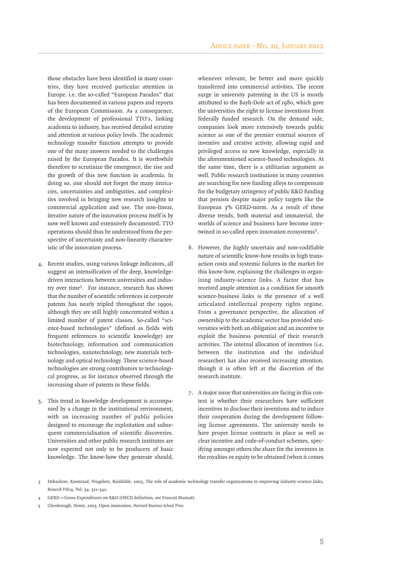those obstacles have been identified in many countries, they have received particular attention in Europe. i.e. the so-called "European Paradox" that has been documented in various papers and reports of the European Commission. As a consequence, the development of professional TTO's, linking academia to industry, has received detailed scrutiny and attention at various policy levels. The academic technology transfer function attempts to provide one of the many answers needed to the challenges raised by the European Paradox. It is worthwhile therefore to scrutinize the emergence, the rise and the growth of this new function in academia. In doing so, one should not forget the many intricacies, uncertainties and ambiguities, and complexities involved in bringing new research insights to commercial application and use. The non-linear, iterative nature of the innovation process itself is by now well known and extensively documented. TTO operations should thus be understood from the perspective of uncertainty and non-linearity characteristic of the innovation process.

- 4. Recent studies, using various linkage indicators, all suggest an intensification of the deep, knowledgedriven interactions between universities and industry over time3 . For instance, research has shown that the number of scientific references in corporate patents has nearly tripled throughout the 1990s, although they are still highly concentrated within a limited number of patent classes. So-called "science-based technologies" (defined as fields with frequent references to scientific knowledge) are biotechnology, information and communication technologies, nanotechnology, new materials technology and optical technology. These science-based technologies are strong contributors to technological progress, as for instance observed through the increasing share of patents in these fields.
- 5. This trend in knowledge development is accompanied by a change in the institutional environment, with an increasing number of public policies designed to encourage the exploitation and subsequent commercialisation of scientific discoveries. Universities and other public research institutes are now expected not only to be producers of basic knowledge. The know-how they generate should,

whenever relevant, be better and more quickly transferred into commercial activities. The recent surge in university patenting in the US is mostly attributed to the Bayh-Dole act of 1980, which gave the universities the right to license inventions from federally funded research. On the demand side, companies look more extensively towards public science as one of the premier external sources of inventive and creative activity, allowing rapid and privileged access to new knowledge, especially in the aforementioned science-based technologies. At the same time, there is a utilitarian argument as well. Public research institutions in many countries are searching for new funding alleys to compensate for the budgetary stringency of public R&D funding that persists despite major policy targets like the European 3% GERD-norm. As a result of these diverse trends, both material and immaterial, the worlds of science and business have become intertwined in so-called open innovation ecosystems<sup>5</sup>.

- 6. However, the highly uncertain and non-codifiable nature of scientific know-how results in high transaction costs and systemic failures in the market for this know-how, explaining the challenges in organizing industry-science links. A factor that has received ample attention as a condition for smooth science-business links is the presence of a well articulated intellectual property rights regime. From a governance perspective, the allocation of ownership to the academic sector has provided universities with both an obligation and an incentive to exploit the business potential of their research activities. The internal allocation of incentives (i.e. between the institution and the individual researcher) has also received increasing attention, though it is often left at the discretion of the research institute.
- 7. A major issue that universities are facing in this context is whether their researchers have sufficient incentives to disclose their inventions and to induce their cooperation during the development following license agreements. The university needs to have proper license contracts in place as well as clear incentive and code-of-conduct schemes, specifying amongst others the share for the inventors in the royalties or equity to be obtained (when it comes

4 GERD = Gross Expenditures on R&D (OECD definition, see Frascati Manual).

<sup>3</sup> Debackere, Koenraad, Veugelers, Reinhilde, 2005, The role of academic technology transfer organizations in improving industry-science links, *Research Policy*, Vol. 34: 321-342.

<sup>5</sup> Chesbrough, Henry, 2003, Open innovation, *Harvard Business School Press*.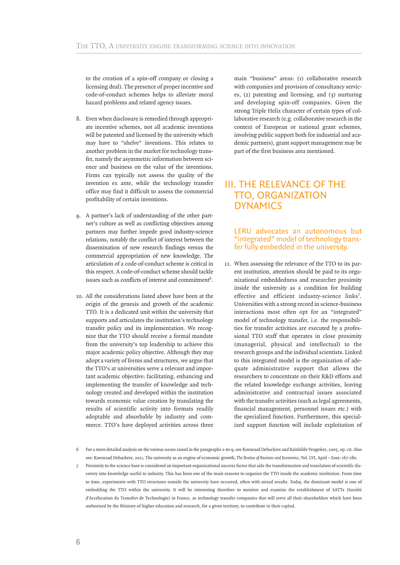to the creation of a spin-off company or closing a licensing deal). The presence of proper incentive and code-of-conduct schemes helps to alleviate moral hazard problems and related agency issues.

- 8. Even when disclosure is remedied through appropriate incentive schemes, not all academic inventions will be patented and licensed by the university which may have to "shelve" inventions. This relates to another problem in the market for technology transfer, namely the asymmetric information between science and business on the value of the inventions. Firms can typically not assess the quality of the invention ex ante, while the technology transfer office may find it difficult to assess the commercial profitability of certain inventions.
- 9. A partner's lack of understanding of the other partner's culture as well as conflicting objectives among partners may further impede good industry-science relations, notably the conflict of interest between the dissemination of new research findings versus the commercial appropriation of new knowledge. The articulation of a code-of-conduct scheme is critical in this respect. A code-of-conduct scheme should tackle issues such as conflicts of interest and commitment<sup>6</sup>.
- 10. All the considerations listed above have been at the origin of the genesis and growth of the academic TTO. It is a dedicated unit within the university that supports and articulates the institution's technology transfer policy and its implementation. We recognize that the TTO should receive a formal mandate from the university's top leadership to achieve this major academic policy objective. Although they may adopt a variety of forms and structures, we argue that the TTO's at universities serve a relevant and important academic objective: facilitating, enhancing and implementing the transfer of knowledge and technology created and developed within the institution towards economic value creation by translating the results of scientific activity into formats readily adoptable and absorbable by industry and commerce. TTO's have deployed activities across three

main "business" areas: (1) collaborative research with companies and provision of consultancy services, (2) patenting and licensing, and (3) nurturing and developing spin-off companies. Given the strong Triple Helix character of certain types of collaborative research (e.g. collaborative research in the context of European or national grant schemes, involving public support both for industrial and academic partners), grant support management may be part of the first business area mentioned.

## III. THE RELEVANCE OF THE TTO, ORGANIZATION DYNAMICS

## LERU advocates an autonomous but "integrated" model of technology trans- fer fully embedded in the university.

11. When assessing the relevance of the TTO to its parent institution, attention should be paid to its organizational embeddedness and researcher proximity inside the university as a condition for building effective and efficient industry-science links<sup>7</sup>. Universities with a strong record in science-business interactions most often opt for an "integrated" model of technology transfer, i.e. the responsibilities for transfer activities are executed by a professional TTO staff that operates in close proximity (managerial, physical and intellectual) to the research groups and the individual scientists. Linked to this integrated model is the organization of adequate administrative support that allows the researchers to concentrate on their R&D efforts and the related knowledge exchange activities, leaving administrative and contractual issues associated with the transfer activities (such as legal agreements, financial management, personnel issues etc.) with the specialized function. Furthermore, this specialized support function will include exploitation of

<sup>6</sup> For a more detailed analysis on the various issues raised in the paragraphs 2-to-9, see Koenraad Debackere and Reinhilde Veugelers, 2005, op. cit. Also see: Koenraad Debackere, 2011, The university as an engine of economic growth, *The Review of Business and Economics*, Vol. LVI, April – June: 167-180.

<sup>7</sup> Proximity to the science base is considered an important organizational success factor that aids the transformation and translation of scientific discovery into knowledge useful to industry. This has been one of the main reasons to organize the TTO inside the academic institution. From time to time, experiments with TTO structures outside the university have occurred, often with mixed results. Today, the dominant model is one of embedding the TTO within the university. It will be interesting therefore to monitor and examine the establishment of SATTs (Société d'Accéleration du Transfert de Technologie) in France, as technology transfer companies that will serve all their shareholders which have been authorized by the Ministry of higher education and research, for a given territory, to contribute in their capital.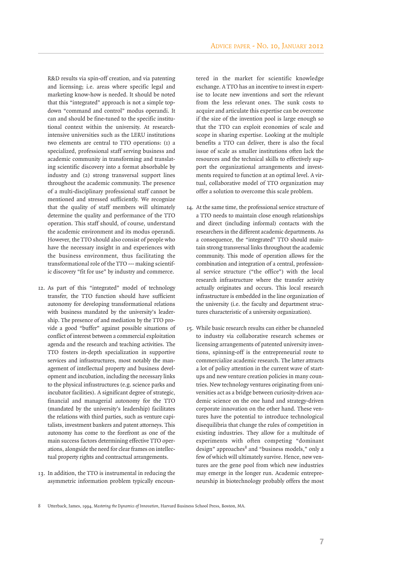R&D results via spin-off creation, and via patenting and licensing; i.e. areas where specific legal and marketing know-how is needed. It should be noted that this "integrated" approach is not a simple topdown "command and control" modus operandi. It can and should be fine-tuned to the specific institutional context within the university. At researchintensive universities such as the LERU institutions two elements are central to TTO operations: (1) a specialized, professional staff serving business and academic community in transforming and translating scientific discovery into a format absorbable by industry and (2) strong transversal support lines throughout the academic community. The presence of a multi-disciplinary professional staff cannot be mentioned and stressed sufficiently. We recognize that the quality of staff members will ultimately determine the quality and performance of the TTO operation. This staff should, of course, understand the academic environment and its modus operandi. However, the TTO should also consist of people who have the necessary insight in and experiences with the business environment, thus facilitating the transformational role of the TTO --- making scientific discovery "fit for use" by industry and commerce.

- 12. As part of this "integrated" model of technology transfer, the TTO function should have sufficient autonomy for developing transformational relations with business mandated by the university's leadership. The presence of and mediation by the TTO provide a good "buffer" against possible situations of conflict of interest between a commercial exploitation agenda and the research and teaching activities. The TTO fosters in-depth specialization in supportive services and infrastructures, most notably the management of intellectual property and business development and incubation, including the necessary links to the physical infrastructures (e.g. science parks and incubator facilities). A significant degree of strategic, financial and managerial autonomy for the TTO (mandated by the university's leadership) facilitates the relations with third parties, such as venture capitalists, investment bankers and patent attorneys. This autonomy has come to the forefront as one of the main success factors determining effective TTO operations, alongside the need for clear frames on intellectual property rights and contractual arrangements.
- 13. In addition, the TTO is instrumental in reducing the asymmetric information problem typically encoun-

tered in the market for scientific knowledge exchange. A TTO has an incentive to invest in expertise to locate new inventions and sort the relevant from the less relevant ones. The sunk costs to acquire and articulate this expertise can be overcome if the size of the invention pool is large enough so that the TTO can exploit economies of scale and scope in sharing expertise. Looking at the multiple benefits a TTO can deliver, there is also the focal issue of scale as smaller institutions often lack the resources and the technical skills to effectively support the organizational arrangements and investments required to function at an optimal level. A virtual, collaborative model of TTO organization may offer a solution to overcome this scale problem.

- 14. At the same time, the professional service structure of a TTO needs to maintain close enough relationships and direct (including informal) contacts with the researchers in the different academic departments. As a consequence, the "integrated" TTO should maintain strong transversal links throughout the academic community. This mode of operation allows for the combination and integration of a central, professional service structure ("the office") with the local research infrastructure where the transfer activity actually originates and occurs. This local research infrastructure is embedded in the line organization of the university (i.e. the faculty and department structures characteristic of a university organization).
- 15. While basic research results can either be channeled to industry via collaborative research schemes or licensing arrangements of patented university inventions, spinning-off is the entrepreneurial route to commercialize academic research. The latter attracts a lot of policy attention in the current wave of startups and new venture creation policies in many countries. New technology ventures originating from universities act as a bridge between curiosity-driven academic science on the one hand and strategy-driven corporate innovation on the other hand. These ventures have the potential to introduce technological disequilibria that change the rules of competition in existing industries. They allow for a multitude of experiments with often competing "dominant design" approaches $8$  and "business models," only a few of which will ultimately survive. Hence, new ventures are the gene pool from which new industries may emerge in the longer run. Academic entrepreneurship in biotechnology probably offers the most

<sup>8</sup> Utterback, James, 1994, *Mastering the Dynamics of Innovation*, Harvard Business School Press, Boston, MA.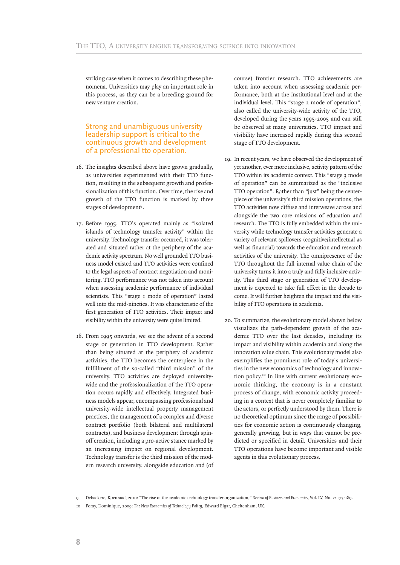striking case when it comes to describing these phenomena. Universities may play an important role in this process, as they can be a breeding ground for new venture creation.

#### Strong and unambiguous university leadership support is critical to the continuous growth and development of a professional tto operation.

- 16. The insights described above have grown gradually, as universities experimented with their TTO function, resulting in the subsequent growth and professionalization of this function. Over time, the rise and growth of the TTO function is marked by three stages of development<sup>9</sup>.
- 17. Before 1995, TTO's operated mainly as "isolated islands of technology transfer activity" within the university. Technology transfer occurred, it was tolerated and situated rather at the periphery of the academic activity spectrum. No well grounded TTO business model existed and TTO activities were confined to the legal aspects of contract negotiation and monitoring. TTO performance was not taken into account when assessing academic performance of individual scientists. This "stage 1 mode of operation" lasted well into the mid-nineties. It was characteristic of the first generation of TTO activities. Their impact and visibility within the university were quite limited.
- 18. From 1995 onwards, we see the advent of a second stage or generation in TTO development. Rather than being situated at the periphery of academic activities, the TTO becomes the centerpiece in the fulfillment of the so-called "third mission" of the university. TTO activities are deployed universitywide and the professionalization of the TTO operation occurs rapidly and effectively. Integrated business models appear, encompassing professional and university-wide intellectual property management practices, the management of a complex and diverse contract portfolio (both bilateral and multilateral contracts), and business development through spinoff creation, including a pro-active stance marked by an increasing impact on regional development. Technology transfer is the third mission of the modern research university, alongside education and (of

course) frontier research. TTO achievements are taken into account when assessing academic performance, both at the institutional level and at the individual level. This "stage 2 mode of operation", also called the university-wide activity of the TTO, developed during the years 1995-2005 and can still be observed at many universities. TTO impact and visibility have increased rapidly during this second stage of TTO development.

- 19. In recent years, we have observed the development of yet another, ever more inclusive, activity pattern of the TTO within its academic context. This "stage 3 mode of operation" can be summarized as the "inclusive TTO operation". Rather than "just" being the centerpiece of the university's third mission operations, the TTO activities now diffuse and interweave across and alongside the two core missions of education and research. The TTO is fully embedded within the university while technology transfer activities generate a variety of relevant spillovers (cognitive/intellectual as well as financial) towards the education and research activities of the university. The omnipresence of the TTO throughout the full internal value chain of the university turns it into a truly and fully inclusive activity. This third stage or generation of TTO development is expected to take full effect in the decade to come. It will further heighten the impact and the visibility of TTO operations in academia.
- 20. To summarize, the evolutionary model shown below visualizes the path-dependent growth of the academic TTO over the last decades, including its impact and visibility within academia and along the innovation value chain. This evolutionary model also exemplifies the prominent role of today's universities in the new economics of technology and innovation policy.10 In line with current evolutionary economic thinking, the economy is in a constant process of change, with economic activity proceeding in a context that is never completely familiar to the actors, or perfectly understood by them. There is no theoretical optimum since the range of possibilities for economic action is continuously changing, generally growing, but in ways that cannot be predicted or specified in detail. Universities and their TTO operations have become important and visible agents in this evolutionary process.

<sup>9</sup> Debackere, Koenraad, 2010: "The rise of the academic technology transfer organization," *Review of Business and Economics*, Vol. LV, No. 2: 175-189.

<sup>10</sup> Foray, Dominique, 2009: *The New Economics of Technology Policy*, Edward Elgar, Cheltenham, UK.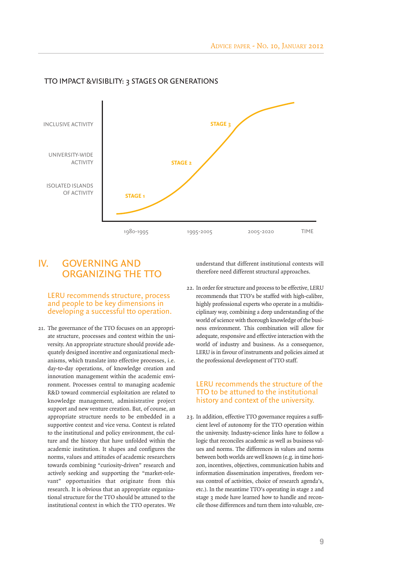

#### TTO IMPACT & VISIBLITY: 3 STAGES OR GENERATIONS

## IV. GOVERNING AND ORGANIZING THE TTO

#### LERU recommends structure, process and people to be key dimensions in developing a successful tto operation.

21. The governance of the TTO focuses on an appropriate structure, processes and context within the university. An appropriate structure should provide adequately designed incentive and organizational mechanisms, which translate into effective processes, i.e. day-to-day operations, of knowledge creation and innovation management within the academic environment. Processes central to managing academic R&D toward commercial exploitation are related to knowledge management, administrative project support and new venture creation. But, of course, an appropriate structure needs to be embedded in a supportive context and vice versa. Context is related to the institutional and policy environment, the culture and the history that have unfolded within the academic institution. It shapes and configures the norms, values and attitudes of academic researchers towards combining "curiosity-driven" research and actively seeking and supporting the "market-relevant" opportunities that originate from this research. It is obvious that an appropriate organizational structure for the TTO should be attuned to the institutional context in which the TTO operates. We understand that different institutional contexts will therefore need different structural approaches.

22. In order for structure and process to be effective, LERU recommends that TTO's be staffed with high-calibre, highly professional experts who operate in a multidisciplinary way, combining a deep understanding of the world of science with thorough knowledge of the business environment. This combination will allow for adequate, responsive and effective interaction with the world of industry and business. As a consequence, LERU is in favour of instruments and policies aimed at the professional development of TTO staff.

#### LERU recommends the structure of the TTO to be attuned to the institutional history and context of the university.

23. In addition, effective TTO governance requires a sufficient level of autonomy for the TTO operation within the university. Industry-science links have to follow a logic that reconciles academic as well as business values and norms. The differences in values and norms between both worlds are well known (e.g. in time horizon, incentives, objectives, communication habits and information dissemination imperatives, freedom versus control of activities, choice of research agenda's, etc.). In the meantime TTO's operating in stage 2 and stage 3 mode have learned how to handle and reconcile those differences and turn them into valuable, cre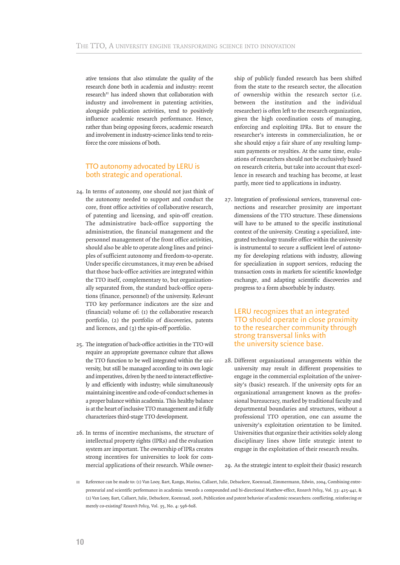ative tensions that also stimulate the quality of the research done both in academia and industry: recent  $r$ esearch $11$  has indeed shown that collaboration with industry and involvement in patenting activities, alongside publication activities, tend to positively influence academic research performance. Hence, rather than being opposing forces, academic research and involvement in industry-science links tend to reinforce the core missions of both.

#### TTO autonomy advocated by LERU is both strategic and operational.

- 24. In terms of autonomy, one should not just think of the autonomy needed to support and conduct the core, front office activities of collaborative research, of patenting and licensing, and spin-off creation. The administrative back-office supporting the administration, the financial management and the personnel management of the front office activities, should also be able to operate along lines and principles of sufficient autonomy and freedom-to-operate. Under specific circumstances, it may even be advised that those back-office activities are integrated within the TTO itself, complementary to, but organizationally separated from, the standard back-office operations (finance, personnel) of the university. Relevant TTO key performance indicators are the size and (financial) volume of: (1) the collaborative research portfolio, (2) the portfolio of discoveries, patents and licences, and (3) the spin-off portfolio.
- 25. The integration of back-office activities in the TTO will require an appropriate governance culture that allows the TTO function to be well integrated within the university, but still be managed according to its own logic and imperatives, driven by the need to interact effectively and efficiently with industry; while simultaneously maintaining incentive and code-of-conduct schemes in a proper balance within academia. This healthy balance is at the heart of inclusive TTO management and it fully characterizes third-stage TTO development.
- 26. In terms of incentive mechanisms, the structure of intellectual property rights (IPRs) and the evaluation system are important. The ownership of IPRs creates strong incentives for universities to look for commercial applications of their research. While owner-

ship of publicly funded research has been shifted from the state to the research sector, the allocation of ownership within the research sector (i.e. between the institution and the individual researcher) is often left to the research organization, given the high coordination costs of managing, enforcing and exploiting IPRs. But to ensure the researcher's interests in commercialization, he or she should enjoy a fair share of any resulting lumpsum payments or royalties. At the same time, evaluations of researchers should not be exclusively based on research criteria, but take into account that excellence in research and teaching has become, at least partly, more tied to applications in industry.

27. Integration of professional services, transversal connections and researcher proximity are important dimensions of the TTO structure. These dimensions will have to be attuned to the specific institutional context of the university. Creating a specialized, integrated technology transfer office within the university is instrumental to secure a sufficient level of autonomy for developing relations with industry, allowing for specialization in support services, reducing the transaction costs in markets for scientific knowledge exchange, and adapting scientific discoveries and progress to a form absorbable by industry.

LERU recognizes that an integrated TTO should operate in close proximity to the researcher community through strong transversal links with the university science base.

- 28. Different organizational arrangements within the university may result in different propensities to engage in the commercial exploitation of the university's (basic) research. If the university opts for an organizational arrangement known as the professional bureaucracy, marked by traditional faculty and departmental boundaries and structures, without a professional TTO operation, one can assume the university's exploitation orientation to be limited. Universities that organize their activities solely along disciplinary lines show little strategic intent to engage in the exploitation of their research results.
- 29. As the strategic intent to exploit their (basic) research

<sup>11</sup> Reference can be made to: (1) Van Looy, Bart, Ranga, Marina, Callaert, Julie, Debackere, Koenraad, Zimmermann, Edwin, 2004, Combining entrepreneurial and scientific performance in academia: towards a compounded and bi-directional Matthew-effect, *Research Policy*, Vol. 33: 425-441, & (2) Van Looy, Bart, Callaert, Julie, Debackere, Koenraad, 2006, Publication and patent behavior of academic researchers: conflicting, reinforcing or merely co-existing? *Research Policy*, Vol. 35, No. 4: 596-608.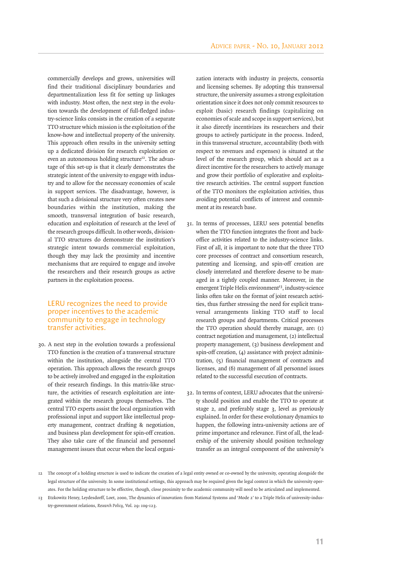commercially develops and grows, universities will find their traditional disciplinary boundaries and departmentalization less fit for setting up linkages with industry. Most often, the next step in the evolution towards the development of full-fledged industry-science links consists in the creation of a separate TTO structure which mission is the exploitation of the know-how and intellectual property of the university. This approach often results in the university setting up a dedicated division for research exploitation or even an autonomous holding structure<sup>12</sup>. The advantage of this set-up is that it clearly demonstrates the strategic intent of the university to engage with industry and to allow for the necessary economies of scale in support services. The disadvantage, however, is that such a divisional structure very often creates new boundaries within the institution, making the smooth, transversal integration of basic research, education and exploitation of research at the level of the research groups difficult. In other words, divisional TTO structures do demonstrate the institution's strategic intent towards commercial exploitation, though they may lack the proximity and incentive mechanisms that are required to engage and involve the researchers and their research groups as active partners in the exploitation process.

#### LERU recognizes the need to provide proper incentives to the academic community to engage in technology transfer activities.

30. A next step in the evolution towards a professional TTO function is the creation of a transversal structure within the institution, alongside the central TTO operation. This approach allows the research groups to be actively involved and engaged in the exploitation of their research findings. In this matrix-like structure, the activities of research exploitation are integrated within the research groups themselves. The central TTO experts assist the local organization with professional input and support like intellectual property management, contract drafting & negotiation, and business plan development for spin-off creation. They also take care of the financial and personnel management issues that occur when the local organization interacts with industry in projects, consortia and licensing schemes. By adopting this transversal structure, the university assumes a strong exploitation orientation since it does not only commit resources to exploit (basic) research findings (capitalizing on economies of scale and scope in support services), but it also directly incentivizes its researchers and their groups to actively participate in the process. Indeed, in this transversal structure, accountability (both with respect to revenues and expenses) is situated at the level of the research group, which should act as a direct incentive for the researchers to actively manage and grow their portfolio of explorative and exploitative research activities. The central support function of the TTO monitors the exploitation activities, thus avoiding potential conflicts of interest and commitment at its research base.

- 31. In terms of processes, LERU sees potential benefits when the TTO function integrates the front and backoffice activities related to the industry-science links. First of all, it is important to note that the three TTO core processes of contract and consortium research, patenting and licensing, and spin-off creation are closely interrelated and therefore deserve to be managed in a tightly coupled manner. Moreover, in the emergent Triple Helix environment<sup>13</sup>, industry-science links often take on the format of joint research activities, thus further stressing the need for explicit transversal arrangements linking TTO staff to local research groups and departments. Critical processes the TTO operation should thereby manage, are: (1) contract negotiation and management, (2) intellectual property management, (3) business development and spin-off creation, (4) assistance with project administration, (5) financial management of contracts and licenses, and (6) management of all personnel issues related to the successful execution of contracts.
- 32. In terms of context, LERU advocates that the university should position and enable the TTO to operate at stage 2, and preferably stage 3, level as previously explained. In order for these evolutionary dynamics to happen, the following intra-university actions are of prime importance and relevance. First of all, the leadership of the university should position technology transfer as an integral component of the university's

<sup>12</sup> The concept of a holding structure is used to indicate the creation of a legal entity owned or co-owned by the university, operating alongside the legal structure of the university. In some institutional settings, this approach may be required given the legal context in which the university operates. For the holding structure to be effective, though, close proximity to the academic community will need to be articulated and implemented.

<sup>13</sup> Etzkowitz Henry, Leydesdorff, Loet, 2000, The dynamics of innovation: from National Systems and 'Mode 2' to a Triple Helix of university-industry-government relations, *Research Policy*, Vol. 29: 109-123.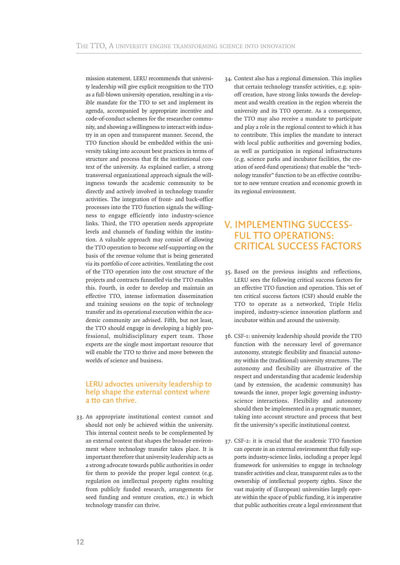mission statement. LERU recommends that university leadership will give explicit recognition to the TTO as a full-blown university operation, resulting in a visible mandate for the TTO to set and implement its agenda, accompanied by appropriate incentive and code-of-conduct schemes for the researcher community, and showing a willingness to interact with industry in an open and transparent manner. Second, the TTO function should be embedded within the university taking into account best practices in terms of structure and process that fit the institutional context of the university. As explained earlier, a strong transversal organizational approach signals the willingness towards the academic community to be directly and actively involved in technology transfer activities. The integration of front- and back-office processes into the TTO function signals the willingness to engage efficiently into industry-science links. Third, the TTO operation needs appropriate levels and channels of funding within the institution. A valuable approach may consist of allowing the TTO operation to become self-supporting on the basis of the revenue volume that is being generated via its portfolio of core activities. Ventilating the cost of the TTO operation into the cost structure of the projects and contracts funnelled via the TTO enables this. Fourth, in order to develop and maintain an effective TTO, intense information dissemination and training sessions on the topic of technology transfer and its operational execution within the academic community are advised. Fifth, but not least, the TTO should engage in developing a highly professional, multidisciplinary expert team. Those experts are the single most important resource that will enable the TTO to thrive and move between the worlds of science and business.

#### LERU advoctes university leadership to help shape the external context where a tto can thrive.

33. An appropriate institutional context cannot and should not only be achieved within the university. This internal context needs to be complemented by an external context that shapes the broader environment where technology transfer takes place. It is important therefore that university leadership acts as a strong advocate towards public authorities in order for them to provide the proper legal context (e.g. regulation on intellectual property rights resulting from publicly funded research, arrangements for seed funding and venture creation, etc.) in which technology transfer can thrive.

34. Context also has a regional dimension. This implies that certain technology transfer activities, e.g. spinoff creation, have strong links towards the development and wealth creation in the region wherein the university and its TTO operate. As a consequence, the TTO may also receive a mandate to participate and play a role in the regional context to which it has to contribute. This implies the mandate to interact with local public authorities and governing bodies, as well as participation in regional infrastructures (e.g. science parks and incubator facilities, the creation of seed-fund operations) that enable the "technology transfer" function to be an effective contributor to new venture creation and economic growth in its regional environment.

## V. IMPLEMENTING SUCCESS-FUL TTO OPERATIONS: CRITICAL SUCCESS FACTORS

- 35. Based on the previous insights and reflections, LERU sees the following critical success factors for an effective TTO function and operation. This set of ten critical success factors (CSF) should enable the TTO to operate as a networked, Triple Helix inspired, industry-science innovation platform and incubator within and around the university.
- 36. CSF-1: university leadership should provide the TTO function with the necessary level of governance autonomy, strategic flexibility and financial autonomy within the (traditional) university structures. The autonomy and flexibility are illustrative of the respect and understanding that academic leadership (and by extension, the academic community) has towards the inner, proper logic governing industryscience interactions. Flexibility and autonomy should then be implemented in a pragmatic manner, taking into account structure and process that best fit the university's specific institutional context.
- 37. CSF-2: it is crucial that the academic TTO function can operate in an external environment that fully supports industry-science links, including a proper legal framework for universities to engage in technology transfer activities and clear, transparent rules as to the ownership of intellectual property rights. Since the vast majority of (European) universities largely operate within the space of public funding, it is imperative that public authorities create a legal environment that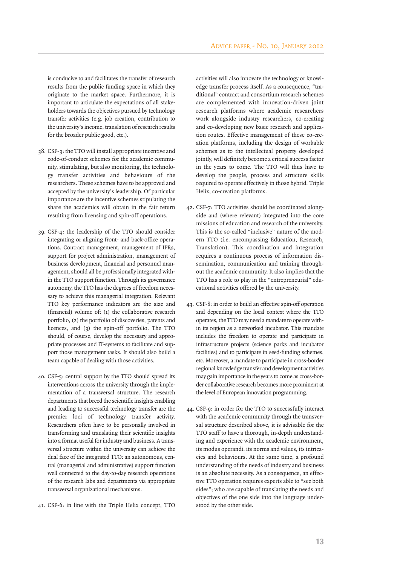is conducive to and facilitates the transfer of research results from the public funding space in which they originate to the market space. Furthermore, it is important to articulate the expectations of all stakeholders towards the objectives pursued by technology transfer activities (e.g. job creation, contribution to the university's income, translation of research results for the broader public good, etc.).

- 38. CSF-3: the TTO will install appropriate incentive and code-of-conduct schemes for the academic community, stimulating, but also monitoring, the technology transfer activities and behaviours of the researchers. These schemes have to be approved and accepted by the university's leadership. Of particular importance are the incentive schemes stipulating the share the academics will obtain in the fair return resulting from licensing and spin-off operations.
- 39. CSF-4: the leadership of the TTO should consider integrating or aligning front- and back-office operations. Contract management, management of IPRs, support for project administration, management of business development, financial and personnel management, should all be professionally integrated within the TTO support function. Through its governance autonomy, the TTO has the degrees of freedom necessary to achieve this managerial integration. Relevant TTO key performance indicators are the size and (financial) volume of: (1) the collaborative research portfolio, (2) the portfolio of discoveries, patents and licences, and (3) the spin-off portfolio. The TTO should, of course, develop the necessary and appropriate processes and IT-systems to facilitate and support those management tasks. It should also build a team capable of dealing with those activities.
- 40. CSF-5: central support by the TTO should spread its interventions across the university through the implementation of a transversal structure. The research departments that breed the scientific insights enabling and leading to successful technology transfer are the premier loci of technology transfer activity. Researchers often have to be personally involved in transforming and translating their scientific insights into a format useful for industry and business. A transversal structure within the university can achieve the dual face of the integrated TTO: an autonomous, central (managerial and administrative) support function well connected to the day-to-day research operations of the research labs and departments via appropriate transversal organizational mechanisms.
- 41. CSF-6: in line with the Triple Helix concept, TTO

activities will also innovate the technology or knowledge transfer process itself. As a consequence, "traditional" contract and consortium research schemes are complemented with innovation-driven joint research platforms where academic researchers work alongside industry researchers, co-creating and co-developing new basic research and application routes. Effective management of these co-creation platforms, including the design of workable schemes as to the intellectual property developed jointly, will definitely become a critical success factor in the years to come. The TTO will thus have to develop the people, process and structure skills required to operate effectively in those hybrid, Triple Helix, co-creation platforms.

- 42. CSF-7: TTO activities should be coordinated alongside and (where relevant) integrated into the core missions of education and research of the university. This is the so-called "inclusive" nature of the modern TTO (i.e. encompassing Education, Research, Translation). This coordination and integration requires a continuous process of information dissemination, communication and training throughout the academic community. It also implies that the TTO has a role to play in the "entrepreneurial" educational activities offered by the university.
- 43. CSF-8: in order to build an effective spin-off operation and depending on the local context where the TTO operates, the TTO may need a mandate to operate within its region as a networked incubator. This mandate includes the freedom to operate and participate in infrastructure projects (science parks and incubator facilities) and to participate in seed-funding schemes, etc. Moreover, a mandate to participate in cross-border regional knowledge transfer and development activities may gain importance in the years to come as cross-border collaborative research becomes more prominent at the level of European innovation programming.
- 44. CSF-9: in order for the TTO to successfully interact with the academic community through the transversal structure described above, it is advisable for the TTO staff to have a thorough, in-depth understanding and experience with the academic environment, its modus operandi, its norms and values, its intricacies and behaviours. At the same time, a profound understanding of the needs of industry and business is an absolute necessity. As a consequence, an effective TTO operation requires experts able to "see both sides"; who are capable of translating the needs and objectives of the one side into the language understood by the other side.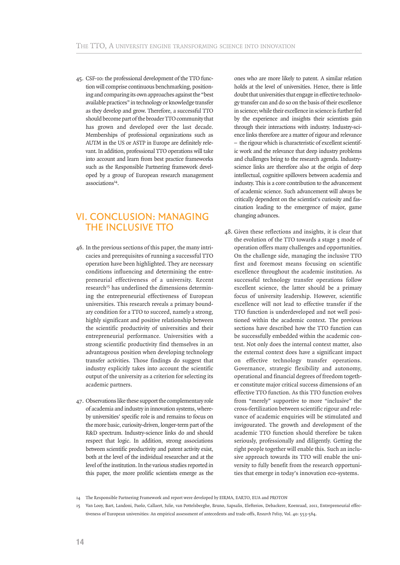45. CSF-10: the professional development of the TTO function will comprise continuous benchmarking, positioning and comparing its own approaches against the "best available practices" in technology or knowledge transfer as they develop and grow. Therefore, a successful TTO should become part of the broader TTO community that has grown and developed over the last decade. Memberships of professional organizations such as AUTM in the US or ASTP in Europe are definitely relevant. In addition, professional TTO operations will take into account and learn from best practice frameworks such as the Responsible Partnering framework developed by a group of European research management associations<sup>14</sup>.

## VI. CONCLUSION: MANAGING THE INCLUSIVE TTO

- 46. In the previous sections of this paper, the many intricacies and prerequisites of running a successful TTO operation have been highlighted. They are necessary conditions influencing and determining the entrepreneurial effectiveness of a university. Recent research<sup>15</sup> has underlined the dimensions determining the entrepreneurial effectiveness of European universities. This research reveals a primary boundary condition for a TTO to succeed, namely a strong, highly significant and positive relationship between the scientific productivity of universities and their entrepreneurial performance. Universities with a strong scientific productivity find themselves in an advantageous position when developing technology transfer activities. Those findings do suggest that industry explicitly takes into account the scientific output of the university as a criterion for selecting its academic partners.
- 47. Observations like these support the complementary role of academia and industry in innovation systems, whereby universities' specific role is and remains to focus on the more basic, curiosity-driven, longer-term part of the R&D spectrum. Industry-science links do and should respect that logic. In addition, strong associations between scientific productivity and patent activity exist, both at the level of the individual researcher and at the level of the institution. In the various studies reported in this paper, the more prolific scientists emerge as the

ones who are more likely to patent. A similar relation holds at the level of universities. Hence, there is little doubt that universities that engage in effective technology transfer can and do so on the basis of their excellence in science; while their excellence in science is further fed by the experience and insights their scientists gain through their interactions with industry. Industry-science links therefore are a matter of rigour and relevance – the rigour which is characteristic of excellent scientific work and the relevance that deep industry problems and challenges bring to the research agenda. Industryscience links are therefore also at the origin of deep intellectual, cognitive spillovers between academia and industry. This is a core contribution to the advancement of academic science. Such advancement will always be critically dependent on the scientist's curiosity and fascination leading to the emergence of major, game changing advances.

48. Given these reflections and insights, it is clear that the evolution of the TTO towards a stage 3 mode of operation offers many challenges and opportunities. On the challenge side, managing the inclusive TTO first and foremost means focusing on scientific excellence throughout the academic institution. As successful technology transfer operations follow excellent science, the latter should be a primary focus of university leadership. However, scientific excellence will not lead to effective transfer if the TTO function is underdeveloped and not well positioned within the academic context. The previous sections have described how the TTO function can be successfully embedded within the academic context. Not only does the internal context matter, also the external context does have a significant impact on effective technology transfer operations. Governance, strategic flexibility and autonomy, operational and financial degrees of freedom together constitute major critical success dimensions of an effective TTO function. As this TTO function evolves from "merely" supportive to more "inclusive" the cross-fertilization between scientific rigour and relevance of academic enquiries will be stimulated and invigourated. The growth and development of the academic TTO function should therefore be taken seriously, professionally and diligently. Getting the right people together will enable this. Such an inclusive approach towards its TTO will enable the university to fully benefit from the research opportunities that emerge in today's innovation eco-systems.

<sup>14</sup> The Responsible Partnering Framework and report were developed by EIRMA, EARTO, EUA and PROTON

<sup>15</sup> Van Looy, Bart, Landoni, Paolo, Callaert, Julie, van Pottelsberghe, Bruno, Sapsalis, Elefterios, Debackere, Koenraad, 2011, Entrepreneurial effectiveness of European universities: An empirical assessment of antecedents and trade-offs, *Research Polic*y, Vol. 40: 553-564.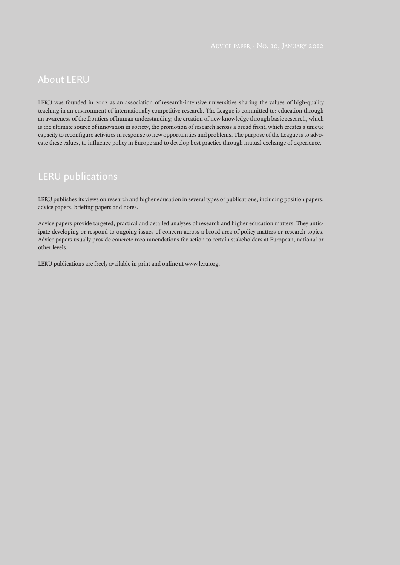## About LERU

LERU was founded in 2002 as an association of research-intensive universities sharing the values of high-quality teaching in an environment of internationally competitive research. The League is committed to: education through an awareness of the frontiers of human understanding; the creation of new knowledge through basic research, which is the ultimate source of innovation in society; the promotion of research across a broad front, which creates a unique capacity to reconfigure activities in response to new opportunities and problems. The purpose of the League is to advocate these values, to influence policy in Europe and to develop best practice through mutual exchange of experience.

## LERU publications

LERU publishes its views on research and higher education in several types of publications, including position papers, advice papers, briefing papers and notes.

Advice papers provide targeted, practical and detailed analyses of research and higher education matters. They anticipate developing or respond to ongoing issues of concern across a broad area of policy matters or research topics. Advice papers usually provide concrete recommendations for action to certain stakeholders at European, national or other levels.

LERU publications are freely available in print and online at www.leru.org.